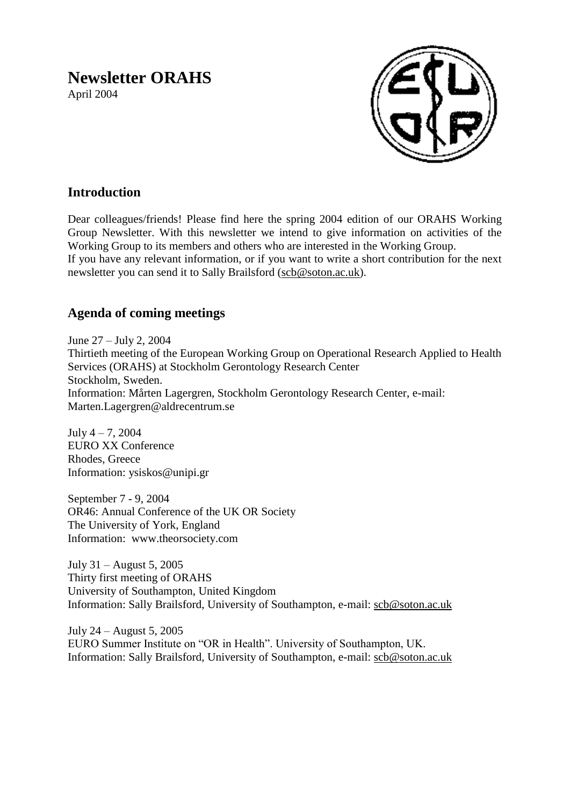# **Newsletter ORAHS**

April 2004



# **Introduction**

Dear colleagues/friends! Please find here the spring 2004 edition of our ORAHS Working Group Newsletter. With this newsletter we intend to give information on activities of the Working Group to its members and others who are interested in the Working Group. If you have any relevant information, or if you want to write a short contribution for the next newsletter you can send it to Sally Brailsford [\(scb@soton.ac.uk\)](mailto:scb@soton.ac.uk).

# **Agenda of coming meetings**

June 27 – July 2, 2004 Thirtieth meeting of the European Working Group on Operational Research Applied to Health Services (ORAHS) at Stockholm Gerontology Research Center Stockholm, Sweden. Information: Mårten Lagergren, Stockholm Gerontology Research Center, e-mail: Marten.Lagergren@aldrecentrum.se

July 4 – 7, 2004 EURO XX Conference Rhodes, Greece Information: ysiskos@unipi.gr

September 7 - 9, 2004 OR46: Annual Conference of the UK OR Society The University of York, England Information: www.theorsociety.com

July 31 – August 5, 2005 Thirty first meeting of ORAHS University of Southampton, United Kingdom Information: Sally Brailsford, University of Southampton, e-mail: [scb@soton.ac.uk](mailto:scb@soton.ac.uk)

July 24 – August 5, 2005 EURO Summer Institute on "OR in Health". University of Southampton, UK. Information: Sally Brailsford, University of Southampton, e-mail: [scb@soton.ac.uk](mailto:scb@soton.ac.uk)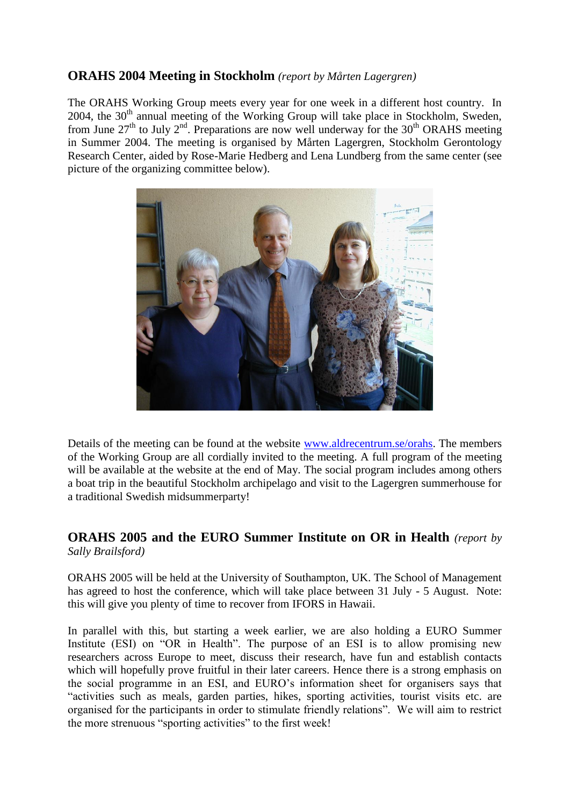## **ORAHS 2004 Meeting in Stockholm** *(report by Mårten Lagergren)*

The ORAHS Working Group meets every year for one week in a different host country. In  $2004$ , the  $30<sup>th</sup>$  annual meeting of the Working Group will take place in Stockholm, Sweden, from June  $27<sup>th</sup>$  to July  $2<sup>nd</sup>$ . Preparations are now well underway for the 30<sup>th</sup> ORAHS meeting in Summer 2004. The meeting is organised by Mårten Lagergren, Stockholm Gerontology Research Center, aided by Rose-Marie Hedberg and Lena Lundberg from the same center (see picture of the organizing committee below).



Details of the meeting can be found at the website [www.aldrecentrum.se/orahs.](http://www.aldrecentrum.se/orahs) The members of the Working Group are all cordially invited to the meeting. A full program of the meeting will be available at the website at the end of May. The social program includes among others a boat trip in the beautiful Stockholm archipelago and visit to the Lagergren summerhouse for a traditional Swedish midsummerparty!

## **ORAHS 2005 and the EURO Summer Institute on OR in Health** *(report by Sally Brailsford)*

ORAHS 2005 will be held at the University of Southampton, UK. The School of Management has agreed to host the conference, which will take place between 31 July - 5 August. Note: this will give you plenty of time to recover from IFORS in Hawaii.

In parallel with this, but starting a week earlier, we are also holding a EURO Summer Institute (ESI) on "OR in Health". The purpose of an ESI is to allow promising new researchers across Europe to meet, discuss their research, have fun and establish contacts which will hopefully prove fruitful in their later careers. Hence there is a strong emphasis on the social programme in an ESI, and EURO"s information sheet for organisers says that "activities such as meals, garden parties, hikes, sporting activities, tourist visits etc. are organised for the participants in order to stimulate friendly relations". We will aim to restrict the more strenuous "sporting activities" to the first week!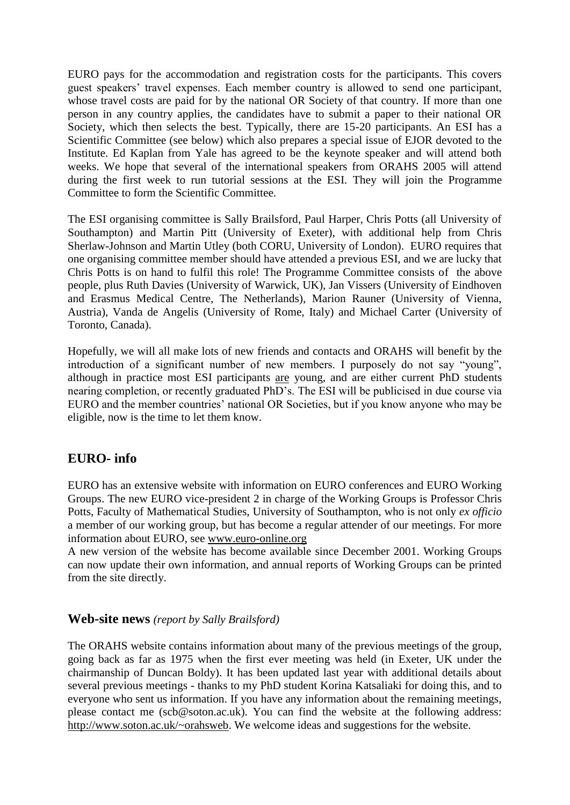EURO pays for the accommodation and registration costs for the participants. This covers guest speakers' travel expenses. Each member country is allowed to send one participant, whose travel costs are paid for by the national OR Society of that country. If more than one person in any country applies, the candidates have to submit a paper to their national OR Society, which then selects the best. Typically, there are 15-20 participants. An ESI has a Scientific Committee (see below) which also prepares a special issue of EJOR devoted to the Institute. Ed Kaplan from Yale has agreed to be the keynote speaker and will attend both weeks. We hope that several of the international speakers from ORAHS 2005 will attend during the first week to run tutorial sessions at the ESI. They will join the Programme Committee to form the Scientific Committee.

The ESI organising committee is Sally Brailsford, Paul Harper, Chris Potts (all University of Southampton) and Martin Pitt (University of Exeter), with additional help from Chris Sherlaw-Johnson and Martin Utley (both CORU, University of London). EURO requires that one organising committee member should have attended a previous ESI, and we are lucky that Chris Potts is on hand to fulfil this role! The Programme Committee consists of the above people, plus Ruth Davies (University of Warwick, UK), Jan Vissers (University of Eindhoven and Erasmus Medical Centre, The Netherlands), Marion Rauner (University of Vienna, Austria), Vanda de Angelis (University of Rome, Italy) and Michael Carter (University of Toronto, Canada).

Hopefully, we will all make lots of new friends and contacts and ORAHS will benefit by the introduction of a significant number of new members. I purposely do not say "young", although in practice most ESI participants are young, and are either current PhD students nearing completion, or recently graduated PhD"s. The ESI will be publicised in due course via EURO and the member countries" national OR Societies, but if you know anyone who may be eligible, now is the time to let them know.

## **EURO- info**

EURO has an extensive website with information on EURO conferences and EURO Working Groups. The new EURO vice-president 2 in charge of the Working Groups is Professor Chris Potts, Faculty of Mathematical Studies, University of Southampton, who is not only *ex officio* a member of our working group, but has become a regular attender of our meetings. For more information about EURO, see [www.euro-online.org](http://www.euro-online.org/)

A new version of the website has become available since December 2001. Working Groups can now update their own information, and annual reports of Working Groups can be printed from the site directly.

## **Web-site news** *(report by Sally Brailsford)*

The ORAHS website contains information about many of the previous meetings of the group, going back as far as 1975 when the first ever meeting was held (in Exeter, UK under the chairmanship of Duncan Boldy). It has been updated last year with additional details about several previous meetings - thanks to my PhD student Korina Katsaliaki for doing this, and to everyone who sent us information. If you have any information about the remaining meetings, please contact me (scb@soton.ac.uk). You can find the website at the following address: [http://www.soton.ac.uk/~orahsweb.](http://www.soton.ac.uk/~orahsweb) We welcome ideas and suggestions for the website.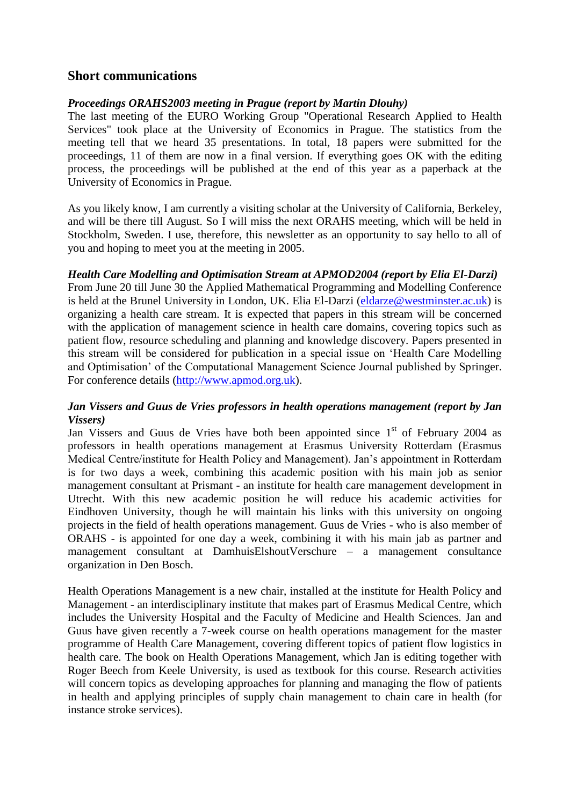## **Short communications**

#### *Proceedings ORAHS2003 meeting in Prague (report by Martin Dlouhy)*

The last meeting of the EURO Working Group "Operational Research Applied to Health Services" took place at the University of Economics in Prague. The statistics from the meeting tell that we heard 35 presentations. In total, 18 papers were submitted for the proceedings, 11 of them are now in a final version. If everything goes OK with the editing process, the proceedings will be published at the end of this year as a paperback at the University of Economics in Prague.

As you likely know, I am currently a visiting scholar at the University of California, Berkeley, and will be there till August. So I will miss the next ORAHS meeting, which will be held in Stockholm, Sweden. I use, therefore, this newsletter as an opportunity to say hello to all of you and hoping to meet you at the meeting in 2005.

#### *Health Care Modelling and Optimisation Stream at APMOD2004 (report by Elia El-Darzi)*

From June 20 till June 30 the Applied Mathematical Programming and Modelling Conference is held at the Brunel University in London, UK. Elia El-Darzi [\(eldarze@westminster.ac.uk\)](mailto:eldarze@westminster.ac.uk) is organizing a health care stream. It is expected that papers in this stream will be concerned with the application of management science in health care domains, covering topics such as patient flow, resource scheduling and planning and knowledge discovery. Papers presented in this stream will be considered for publication in a special issue on "Health Care Modelling and Optimisation" of the Computational Management Science Journal published by Springer. For conference details [\(http://www.apmod.org.uk\)](http://www.apmod.org.uk/).

## *Jan Vissers and Guus de Vries professors in health operations management (report by Jan Vissers)*

Jan Vissers and Guus de Vries have both been appointed since  $1<sup>st</sup>$  of February 2004 as professors in health operations management at Erasmus University Rotterdam (Erasmus Medical Centre/institute for Health Policy and Management). Jan"s appointment in Rotterdam is for two days a week, combining this academic position with his main job as senior management consultant at Prismant - an institute for health care management development in Utrecht. With this new academic position he will reduce his academic activities for Eindhoven University, though he will maintain his links with this university on ongoing projects in the field of health operations management. Guus de Vries - who is also member of ORAHS - is appointed for one day a week, combining it with his main jab as partner and management consultant at DamhuisElshoutVerschure – a management consultance organization in Den Bosch.

Health Operations Management is a new chair, installed at the institute for Health Policy and Management - an interdisciplinary institute that makes part of Erasmus Medical Centre, which includes the University Hospital and the Faculty of Medicine and Health Sciences. Jan and Guus have given recently a 7-week course on health operations management for the master programme of Health Care Management, covering different topics of patient flow logistics in health care. The book on Health Operations Management, which Jan is editing together with Roger Beech from Keele University, is used as textbook for this course. Research activities will concern topics as developing approaches for planning and managing the flow of patients in health and applying principles of supply chain management to chain care in health (for instance stroke services).